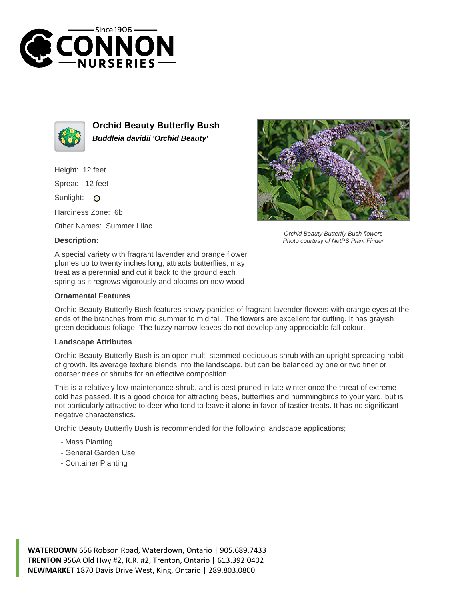



**Orchid Beauty Butterfly Bush Buddleia davidii 'Orchid Beauty'**

Height: 12 feet

Spread: 12 feet

Sunlight: O

Hardiness Zone: 6b

Other Names: Summer Lilac

## **Description:**



Orchid Beauty Butterfly Bush flowers Photo courtesy of NetPS Plant Finder

A special variety with fragrant lavender and orange flower plumes up to twenty inches long; attracts butterflies; may treat as a perennial and cut it back to the ground each spring as it regrows vigorously and blooms on new wood

## **Ornamental Features**

Orchid Beauty Butterfly Bush features showy panicles of fragrant lavender flowers with orange eyes at the ends of the branches from mid summer to mid fall. The flowers are excellent for cutting. It has grayish green deciduous foliage. The fuzzy narrow leaves do not develop any appreciable fall colour.

## **Landscape Attributes**

Orchid Beauty Butterfly Bush is an open multi-stemmed deciduous shrub with an upright spreading habit of growth. Its average texture blends into the landscape, but can be balanced by one or two finer or coarser trees or shrubs for an effective composition.

This is a relatively low maintenance shrub, and is best pruned in late winter once the threat of extreme cold has passed. It is a good choice for attracting bees, butterflies and hummingbirds to your yard, but is not particularly attractive to deer who tend to leave it alone in favor of tastier treats. It has no significant negative characteristics.

Orchid Beauty Butterfly Bush is recommended for the following landscape applications;

- Mass Planting
- General Garden Use
- Container Planting

**WATERDOWN** 656 Robson Road, Waterdown, Ontario | 905.689.7433 **TRENTON** 956A Old Hwy #2, R.R. #2, Trenton, Ontario | 613.392.0402 **NEWMARKET** 1870 Davis Drive West, King, Ontario | 289.803.0800